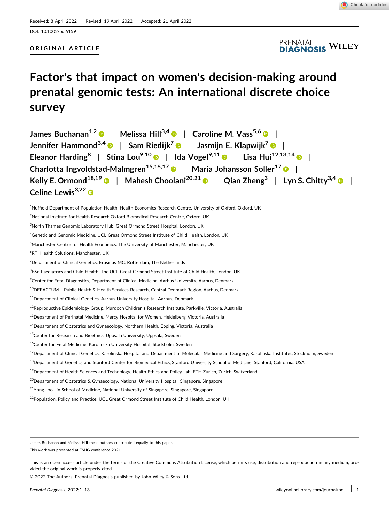

#### DOI: [10.1002/pd.6159](https://doi.org/10.1002/pd.6159)

## **ORIGINAL ARTICLE**



# **Factor's that impact on women's decision‐making around prenatal genomic tests: An international discrete choice survey**

| James Buchanan <sup>1,2</sup> ·   Melissa Hill <sup>3,4</sup> ·   Caroline M. Vass <sup>5,6</sup> ·                                |
|------------------------------------------------------------------------------------------------------------------------------------|
| Jennifer Hammond <sup>3,4</sup> $\bullet$   Sam Riedijk <sup>7</sup> $\bullet$   Jasmijn E. Klapwijk <sup>7</sup> $\bullet$        |
| Eleanor Harding <sup>8</sup>   Stina Lou <sup>9,10</sup>   Ida Vogel <sup>9,11</sup>   Lisa Hui <sup>12,13,14</sup>                |
| Charlotta Ingvoldstad-Malmgren <sup>15,16,17</sup> $\bullet$   Maria Johansson Soller <sup>17</sup> $\bullet$                      |
| Kelly E. Ormond <sup>18,19</sup> •   Mahesh Choolani <sup>20,21</sup> •   Qian Zheng <sup>3</sup>   Lyn S. Chitty <sup>3,4</sup> • |
| Celine Lewis <sup>3,22</sup> $\bullet$                                                                                             |

<sup>1</sup>Nuffield Department of Population Health, Health Economics Research Centre, University of Oxford, Oxford, UK

<sup>2</sup>National Institute for Health Research Oxford Biomedical Research Centre, Oxford, UK

<sup>3</sup>North Thames Genomic Laboratory Hub, Great Ormond Street Hospital, London, UK

<sup>4</sup>Genetic and Genomic Medicine, UCL Great Ormond Street Institute of Child Health, London, UK

5 Manchester Centre for Health Economics, The University of Manchester, Manchester, UK

6 RTI Health Solutions, Manchester, UK

<sup>7</sup>Department of Clinical Genetics, Erasmus MC, Rotterdam, The Netherlands

<sup>8</sup>BSc Paediatrics and Child Health, The UCL Great Ormond Street Institute of Child Health, London, UK

<sup>9</sup> Center for Fetal Diagnostics, Department of Clinical Medicine, Aarhus University, Aarhus, Denmark

<sup>10</sup>DEFACTUM - Public Health & Health Services Research, Central Denmark Region, Aarhus, Denmark

<sup>11</sup>Department of Clinical Genetics, Aarhus University Hospital, Aarhus, Denmark

12Reproductive Epidemiology Group, Murdoch Children's Research Institute, Parkville, Victoria, Australia

<sup>13</sup>Department of Perinatal Medicine, Mercy Hospital for Women, Heidelberg, Victoria, Australia

<sup>14</sup>Department of Obstetrics and Gynaecology, Northern Health, Epping, Victoria, Australia

<sup>15</sup>Center for Research and Bioethics, Uppsala University, Uppsala, Sweden

<sup>16</sup>Center for Fetal Medicine, Karolinska University Hospital, Stockholm, Sweden

<sup>17</sup>Department of Clinical Genetics, Karolinska Hospital and Department of Molecular Medicine and Surgery, Karolinska Institutet, Stockholm, Sweden

<sup>18</sup>Department of Genetics and Stanford Center for Biomedical Ethics, Stanford University School of Medicine, Stanford, California, USA

<sup>19</sup>Department of Health Sciences and Technology, Health Ethics and Policy Lab, ETH Zurich, Zurich, Switzerland

<sup>20</sup>Department of Obstetrics & Gynaecology, National University Hospital, Singapore, Singapore

<sup>21</sup>Yong Loo Lin School of Medicine, National University of Singapore, Singapore, Singapore

<sup>22</sup> Population, Policy and Practice, UCL Great Ormond Street Institute of Child Health, London, UK

James Buchanan and Melissa Hill these authors contributed equally to this paper.

This work was presented at ESHG conference 2021.

This is an open access article under the terms of the Creative Commons Attribution License, which permits use, distribution and reproduction in any medium, provided the original work is properly cited.

© 2022 The Authors. Prenatal Diagnosis published by John Wiley & Sons Ltd.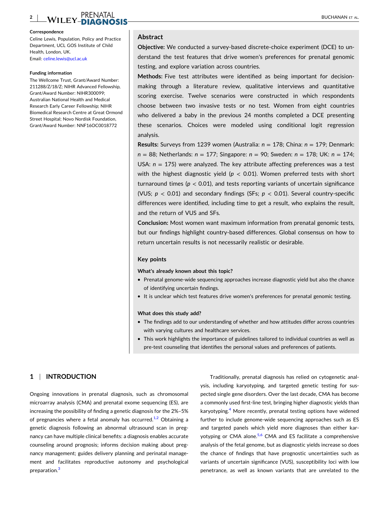#### **2** EN THE REPORT OF THE RESERVE THE RESERVE TO A REPORT OF THE RESERVE TO A REPORT OF THE RESERVE TO ALL AND THE RESERVE TO ALL AND THE RESERVE TO ALL AND THE RESERVE TO ALL AND THE RESERVE TO ALL AND THE RESERVE TO ALL AND T

#### **Correspondence**

Celine Lewis, Population, Policy and Practice Department, UCL GOS Institute of Child Health, London, UK. Email: [celine.lewis@ucl.ac.uk](mailto:celine.lewis@ucl.ac.uk)

#### **Funding information**

The Wellcome Trust, Grant/Award Number: 211288/Z/18/Z; NIHR Advanced Fellowship, Grant/Award Number: NIHR300099; Australian National Health and Medical Research Early Career Fellowship; NIHR Biomedical Research Centre at Great Ormond Street Hospital; Novo Nordisk Foundation, Grant/Award Number: NNF16OC0018772

### **Abstract**

**Objective:** We conducted a survey‐based discrete‐choice experiment (DCE) to understand the test features that drive women's preferences for prenatal genomic testing, and explore variation across countries.

**Methods:** Five test attributes were identified as being important for decision‐ making through a literature review, qualitative interviews and quantitative scoring exercise. Twelve scenarios were constructed in which respondents choose between two invasive tests or no test. Women from eight countries who delivered a baby in the previous 24 months completed a DCE presenting these scenarios. Choices were modeled using conditional logit regression analysis.

**Results:** Surveys from 1239 women (Australia: *n* = 178; China: *n* = 179; Denmark: *n* = 88; Netherlands: *n* = 177; Singapore: *n* = 90; Sweden: *n* = 178; UK: *n* = 174; USA:  $n = 175$ ) were analyzed. The key attribute affecting preferences was a test with the highest diagnostic yield ( $p < 0.01$ ). Women preferred tests with short turnaround times ( $p < 0.01$ ), and tests reporting variants of uncertain significance (VUS; *p* < 0.01) and secondary findings (SFs; *p* < 0.01). Several country‐specific differences were identified, including time to get a result, who explains the result, and the return of VUS and SFs.

**Conclusion:** Most women want maximum information from prenatal genomic tests, but our findings highlight country‐based differences. Global consensus on how to return uncertain results is not necessarily realistic or desirable.

## **Key points**

#### **What's already known about this topic?**

- Prenatal genome-wide sequencing approaches increase diagnostic yield but also the chance of identifying uncertain findings.
- � It is unclear which test features drive women's preferences for prenatal genomic testing.

#### **What does this study add?**

- � The findings add to our understanding of whether and how attitudes differ across countries with varying cultures and healthcare services.
- � This work highlights the importance of guidelines tailored to individual countries as well as pre-test counseling that identifies the personal values and preferences of patients.

# **1** <sup>|</sup> **INTRODUCTION**

Ongoing innovations in prenatal diagnosis, such as chromosomal microarray analysis (CMA) and prenatal exome sequencing (ES), are increasing the possibility of finding a genetic diagnosis for the 2%–5% of pregnancies where a fetal anomaly has occurred. $1/2$  Obtaining a genetic diagnosis following an abnormal ultrasound scan in pregnancy can have multiple clinical benefits: a diagnosis enables accurate counseling around prognosis; informs decision making about pregnancy management; guides delivery planning and perinatal management and facilitates reproductive autonomy and psychological preparation.<sup>[3](#page-10-0)</sup>

Traditionally, prenatal diagnosis has relied on cytogenetic analysis, including karyotyping, and targeted genetic testing for suspected single gene disorders. Over the last decade, CMA has become a commonly used first‐line test, bringing higher diagnostic yields than karyotyping.<sup>4</sup> More recently, prenatal testing options have widened further to include genome‐wide sequencing approaches such as ES and targeted panels which yield more diagnoses than either kar-yotyping or CMA alone.<sup>[5,6](#page-10-0)</sup> CMA and ES facilitate a comprehensive analysis of the fetal genome, but as diagnostic yields increase so does the chance of findings that have prognostic uncertainties such as variants of uncertain significance (VUS), susceptibility loci with low penetrance, as well as known variants that are unrelated to the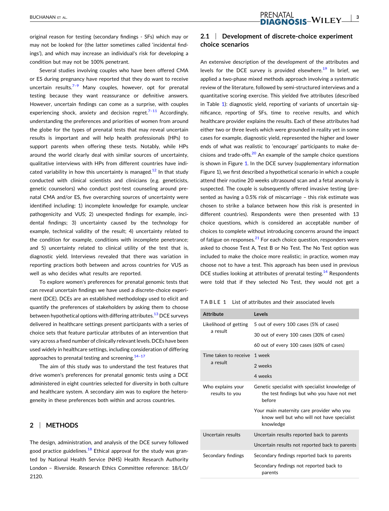PRENATAL<br>-DIAGNOSIS-WILEY<sup>13</sup>

original reason for testing (secondary findings ‐ SFs) which may or may not be looked for (the latter sometimes called 'incidental findings'), and which may increase an individual's risk for developing a condition but may not be 100% penetrant.

Several studies involving couples who have been offered CMA or ES during pregnancy have reported that they do want to receive uncertain results. $7-9$  Many couples, however, opt for prenatal testing because they want reassurance or definitive answers. However, uncertain findings can come as a surprise, with couples experiencing shock, anxiety and decision regret.<sup>7-11</sup> Accordingly, understanding the preferences and priorities of women from around the globe for the types of prenatal tests that may reveal uncertain results is important and will help health professionals (HPs) to support parents when offering these tests. Notably, while HPs around the world clearly deal with similar sources of uncertainty, qualitative interviews with HPs from different countries have indi-cated variability in how this uncertainty is managed.<sup>[12](#page-10-0)</sup> In that study conducted with clinical scientists and clinicians (e.g. geneticists, genetic counselors) who conduct post-test counseling around prenatal CMA and/or ES, five overarching sources of uncertainty were identified including: 1) incomplete knowledge for example, unclear pathogenicity and VUS; 2) unexpected findings for example, incidental findings; 3) uncertainty caused by the technology for example, technical validity of the result; 4) uncertainty related to the condition for example, conditions with incomplete penetrance; and 5) uncertainty related to clinical utility of the test that is, diagnostic yield. Interviews revealed that there was variation in reporting practices both between and across countries for VUS as well as who decides what results are reported.

To explore women's preferences for prenatal genomic tests that can reveal uncertain findings we have used a discrete‐choice experiment (DCE). DCEs are an established methodology used to elicit and quantify the preferences of stakeholders by asking them to choose between hypothetical options with differing attributes.<sup>13</sup> DCE surveys delivered in healthcare settings present participants with a series of choice sets that feature particular attributes of an intervention that vary across a fixed number of clinically relevant levels. DCEs have been used widely in healthcare settings, including consideration of differing approaches to prenatal testing and screening.  $14-17$ 

The aim of this study was to understand the test features that drive women's preferences for prenatal genomic tests using a DCE administered in eight countries selected for diversity in both culture and healthcare system. A secondary aim was to explore the heterogeneity in these preferences both within and across countries.

# **2** <sup>|</sup> **METHODS**

The design, administration, and analysis of the DCE survey followed good practice guidelines. $18$  Ethical approval for the study was granted by National Health Service (NHS) Health Research Authority London – Riverside. Research Ethics Committee reference: 18/LO/ 2120.

# **2.1** <sup>|</sup> **Development of discrete‐choice experiment choice scenarios**

An extensive description of the development of the attributes and levels for the DCE survey is provided elsewhere.<sup>[19](#page-10-0)</sup> In brief, we applied a two‐phase mixed methods approach involving a systematic review of the literature, followed by semi‐structured interviews and a quantitative scoring exercise. This yielded five attributes (described in Table 1): diagnostic yield, reporting of variants of uncertain significance, reporting of SFs, time to receive results, and which healthcare provider explains the results. Each of these attributes had either two or three levels which were grounded in reality yet in some cases for example, diagnostic yield, represented the higher and lower ends of what was realistic to 'encourage' participants to make decisions and trade‐offs.[20](#page-11-0) An example of the sample choice questions is shown in Figure [1.](#page-3-0) In the DCE survey (supplementary information Figure 1), we first described a hypothetical scenario in which a couple attend their routine 20 weeks ultrasound scan and a fetal anomaly is suspected. The couple is subsequently offered invasive testing (presented as having a 0.5% risk of miscarriage – this risk estimate was chosen to strike a balance between how this risk is presented in different countries). Respondents were then presented with 13 choice questions, which is considered an acceptable number of choices to complete without introducing concerns around the impact of fatigue on responses. $^{21}$  $^{21}$  $^{21}$  For each choice question, responders were asked to choose Test A, Test B or No Test. The No Test option was included to make the choice more realistic; in practice, women may choose not to have a test. This approach has been used in previous DCE studies looking at attributes of prenatal testing.<sup>[14](#page-10-0)</sup> Respondents were told that if they selected No Test, they would not get a

| TABLE 1 List of attributes and their associated levels |  |
|--------------------------------------------------------|--|
|--------------------------------------------------------|--|

| <b>Attribute</b>                    | Levels                                                                                                  |
|-------------------------------------|---------------------------------------------------------------------------------------------------------|
| Likelihood of getting               | 5 out of every 100 cases (5% of cases)                                                                  |
| a result                            | 30 out of every 100 cases (30% of cases)                                                                |
|                                     | 60 out of every 100 cases (60% of cases)                                                                |
| Time taken to receive               | 1 week                                                                                                  |
| a result                            | 2 weeks                                                                                                 |
|                                     | 4 weeks                                                                                                 |
| Who explains your<br>results to you | Genetic specialist with specialist knowledge of<br>the test findings but who you have not met<br>hefore |
|                                     | Your main maternity care provider who you<br>know well but who will not have specialist<br>knowledge    |
| Uncertain results                   | Uncertain results reported back to parents                                                              |
|                                     | Uncertain results not reported back to parents                                                          |
| Secondary findings                  | Secondary findings reported back to parents                                                             |
|                                     | Secondary findings not reported back to<br>parents                                                      |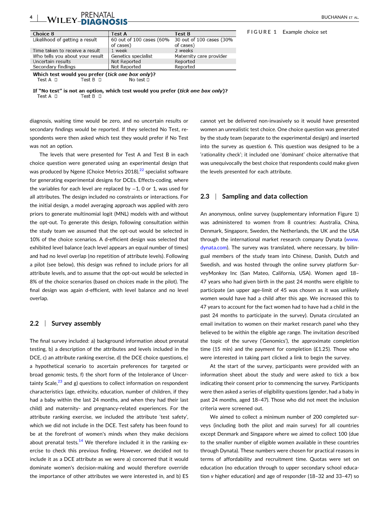# <span id="page-3-0"></span>**4** | **WILEY\_NLUCLU** | **BUCHANAN ET AL.**

| <b>Test A</b>                         | <b>Test B</b>                          |
|---------------------------------------|----------------------------------------|
| 60 out of 100 cases (60%<br>of cases) | 30 out of 100 cases (30%)<br>of cases) |
| 1 week                                | 2 weeks                                |
| Genetics specialist                   | Maternity care provider                |
| Not Reported                          | Reported                               |
| Not Reported                          | Reported                               |
|                                       |                                        |

Which test would you prefer (tick one box only)? Test  $A$   $\Box$ Test  $B$   $\Box$ No test D

If "No test" is not an option, which test would you prefer (tick one box only)? Test  $A$   $\Box$ Test B  $\Box$ 

diagnosis, waiting time would be zero, and no uncertain results or secondary findings would be reported. If they selected No Test, respondents were then asked which test they would prefer if No Test was not an option.

The levels that were presented for Test A and Test B in each choice question were generated using an experimental design that was produced by Ngene (Choice Metrics 2018),<sup>[22](#page-11-0)</sup> specialist software for generating experimental designs for DCEs. Effects‐coding, where the variables for each level are replaced by −1, 0 or 1, was used for all attributes. The design included no constraints or interactions. For the initial design, a model averaging approach was applied with zero priors to generate multinomial logit (MNL) models with and without the opt-out. To generate this design, following consultation within the study team we assumed that the opt‐out would be selected in 10% of the choice scenarios. A d‐efficient design was selected that exhibited level balance (each level appears an equal number of times) and had no level overlap (no repetition of attribute levels). Following a pilot (see below), this design was refined to include priors for all attribute levels, and to assume that the opt‐out would be selected in 8% of the choice scenarios (based on choices made in the pilot). The final design was again d‐efficient, with level balance and no level overlap.

# **2.2** <sup>|</sup> **Survey assembly**

The final survey included: a) background information about prenatal testing, b) a description of the attributes and levels included in the DCE, c) an attribute ranking exercise, d) the DCE choice questions, e) a hypothetical scenario to ascertain preferences for targeted or broad genomic tests, f) the short form of the Intolerance of Uncertainty Scale, $^{23}$  $^{23}$  $^{23}$  and g) questions to collect information on respondent characteristics (age, ethnicity, education, number of children, if they had a baby within the last 24 months, and when they had their last child) and maternity‐ and pregnancy‐related experiences. For the attribute ranking exercise, we included the attribute 'test safety', which we did not include in the DCE. Test safety has been found to be at the forefront of women's minds when they make decisions about prenatal tests.<sup>14</sup> We therefore included it in the ranking exercise to check this previous finding. However, we decided not to include it as a DCE attribute as we were a) concerned that it would dominate women's decision‐making and would therefore override the importance of other attributes we were interested in, and b) ES

cannot yet be delivered non‐invasively so it would have presented women an unrealistic test choice. One choice question was generated by the study team (separate to the experimental design) and inserted into the survey as question 6. This question was designed to be a 'rationality check'; it included one 'dominant' choice alternative that was unequivocally the best choice that respondents could make given the levels presented for each attribute.

# **2.3** <sup>|</sup> **Sampling and data collection**

An anonymous, online survey (supplementary information Figure 1) was administered to women from 8 countries: Australia, China, Denmark, Singapore, Sweden, the Netherlands, the UK and the USA through the international market research company Dynata ([www.](http://www.dynata.com/) [dynata.com](http://www.dynata.com/)). The survey was translated, where necessary, by bilingual members of the study team into Chinese, Danish, Dutch and Swedish, and was hosted through the online survey platform SurveyMonkey Inc (San Mateo, California, USA). Women aged 18– 47 years who had given birth in the past 24 months were eligible to participate (an upper age-limit of 45 was chosen as it was unlikely women would have had a child after this age. We increased this to 47 years to account for the fact women had to have had a child in the past 24 months to participate in the survey). Dynata circulated an email invitation to women on their market research panel who they believed to be within the eligible age range. The invitation described the topic of the survey ('Genomics'), the approximate completion time (15 min) and the payment for completion (£1.25). Those who were interested in taking part clicked a link to begin the survey.

At the start of the survey, participants were provided with an information sheet about the study and were asked to tick a box indicating their consent prior to commencing the survey. Participants were then asked a series of eligibility questions (gender, had a baby in past 24 months, aged 18–47). Those who did not meet the inclusion criteria were screened out.

We aimed to collect a minimum number of 200 completed surveys (including both the pilot and main survey) for all countries except Denmark and Singapore where we aimed to collect 100 (due to the smaller number of eligible women available in these countries through Dynata). These numbers were chosen for practical reasons in terms of affordability and recruitment time. Quotas were set on education (no education through to upper secondary school education *v* higher education) and age of responder (18–32 and 33–47) so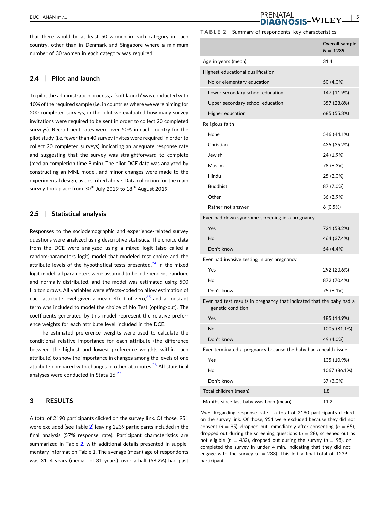that there would be at least 50 women in each category in each country, other than in Denmark and Singapore where a minimum number of 30 women in each category was required.

## **2.4** <sup>|</sup> **Pilot and launch**

To pilot the administration process, a 'soft launch' was conducted with 10% of the required sample (i.e. in countries where we were aiming for 200 completed surveys, in the pilot we evaluated how many survey invitations were required to be sent in order to collect 20 completed surveys). Recruitment rates were over 50% in each country for the pilot study (i.e. fewer than 40 survey invites were required in order to collect 20 completed surveys) indicating an adequate response rate and suggesting that the survey was straightforward to complete (median completion time 9 min). The pilot DCE data was analyzed by constructing an MNL model, and minor changes were made to the experimental design, as described above. Data collection for the main survey took place from  $30<sup>th</sup>$  July 2019 to  $18<sup>th</sup>$  August 2019.

## **2.5** <sup>|</sup> **Statistical analysis**

Responses to the sociodemographic and experience-related survey questions were analyzed using descriptive statistics. The choice data from the DCE were analyzed using a mixed logit (also called a random‐parameters logit) model that modeled test choice and the attribute levels of the hypothetical tests presented.<sup>[24](#page-11-0)</sup> In the mixed logit model, all parameters were assumed to be independent, random, and normally distributed, and the model was estimated using 500 Halton draws. All variables were effects‐coded to allow estimation of each attribute level given a mean effect of zero, $25$  and a constant term was included to model the choice of No Test (opting‐out). The coefficients generated by this model represent the relative preference weights for each attribute level included in the DCE.

The estimated preference weights were used to calculate the conditional relative importance for each attribute (the difference between the highest and lowest preference weights within each attribute) to show the importance in changes among the levels of one attribute compared with changes in other attributes. $26$  All statistical analyses were conducted in Stata 16.<sup>[27](#page-11-0)</sup>

#### **3** <sup>|</sup> **RESULTS**

A total of 2190 participants clicked on the survey link. Of those, 951 were excluded (see Table 2) leaving 1239 participants included in the final analysis (57% response rate). Participant characteristics are summarized in Table 2, with additional details presented in supplementary information Table 1. The average (mean) age of respondents was 31. 4 years (median of 31 years), over a half (58.2%) had past

#### **TABLE 2** Summary of respondents' key characteristics

**PRENATAL** 

|                                                                                            | <b>Overall sample</b><br>$N = 1239$ |
|--------------------------------------------------------------------------------------------|-------------------------------------|
| Age in years (mean)                                                                        | 31.4                                |
| Highest educational qualification                                                          |                                     |
| No or elementary education                                                                 | 50 (4.0%)                           |
| Lower secondary school education                                                           | 147 (11.9%)                         |
| Upper secondary school education                                                           | 357 (28.8%)                         |
| Higher education                                                                           | 685 (55.3%)                         |
| Religious faith                                                                            |                                     |
| None                                                                                       | 546 (44.1%)                         |
| Christian                                                                                  | 435 (35.2%)                         |
| Jewish                                                                                     | 24 (1.9%)                           |
| Muslim                                                                                     | 78 (6.3%)                           |
| Hindu                                                                                      | 25 (2.0%)                           |
| <b>Buddhist</b>                                                                            | 87 (7.0%)                           |
| Other                                                                                      | 36 (2.9%)                           |
| Rather not answer                                                                          | 6(0.5%)                             |
| Ever had down syndrome screening in a pregnancy                                            |                                     |
| Yes                                                                                        | 721 (58.2%)                         |
| <b>No</b>                                                                                  | 464 (37.4%)                         |
| Don't know                                                                                 | 54 (4.4%)                           |
| Ever had invasive testing in any pregnancy                                                 |                                     |
| Yes                                                                                        | 292 (23.6%)                         |
| No                                                                                         | 872 (70.4%)                         |
| Don't know                                                                                 | 75 (6.1%)                           |
| Ever had test results in pregnancy that indicated that the baby had a<br>genetic condition |                                     |
| Yes                                                                                        | 185 (14.9%)                         |
| No                                                                                         | 1005 (81.1%)                        |
| Don't know                                                                                 | 49 (4.0%)                           |
| Ever terminated a pregnancy because the baby had a health issue                            |                                     |
| Yes                                                                                        | 135 (10.9%)                         |
| No                                                                                         | 1067 (86.1%)                        |
| Don't know                                                                                 | 37 (3.0%)                           |
| Total children (mean)                                                                      | 1.8                                 |
| Months since last baby was born (mean)                                                     | 11.2                                |

*Note*: Regarding response rate ‐ a total of 2190 participants clicked on the survey link. Of those, 951 were excluded because they did not consent ( $n = 95$ ), dropped out immediately after consenting ( $n = 65$ ), dropped out during the screening questions (*n* = 28), screened out as not eligible ( $n = 432$ ), dropped out during the survey ( $n = 98$ ), or completed the survey in under 4 min, indicating that they did not engage with the survey ( $n = 233$ ). This left a final total of 1239 participant.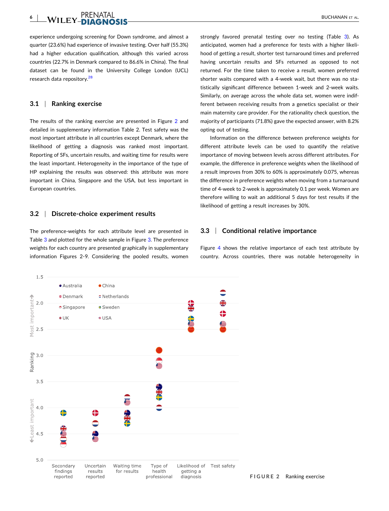#### **6** EN THE REPORT OF THE RESERVE THE RESERVE TO A REPORT OF THE RESERVE TO A REPORT OF THE RESERVE TO ALL AND THE RESERVE TO ALL AND THE RESERVE TO ALL AND THE RESERVE TO ALL AND THE RESERVE TO ALL AND THE RESERVE TO ALL AND T

experience undergoing screening for Down syndrome, and almost a quarter (23.6%) had experience of invasive testing. Over half (55.3%) had a higher education qualification, although this varied across countries (22.7% in Denmark compared to 86.6% in China). The final dataset can be found in the University College London (UCL) research data repository.<sup>[28](#page-11-0)</sup>

### **3.1** <sup>|</sup> **Ranking exercise**

The results of the ranking exercise are presented in Figure 2 and detailed in supplementary information Table 2. Test safety was the most important attribute in all countries except Denmark, where the likelihood of getting a diagnosis was ranked most important. Reporting of SFs, uncertain results, and waiting time for results were the least important. Heterogeneity in the importance of the type of HP explaining the results was observed: this attribute was more important in China, Singapore and the USA, but less important in European countries.

#### **3.2** <sup>|</sup> **Discrete‐choice experiment results**

The preference-weights for each attribute level are presented in Table [3](#page-6-0) and plotted for the whole sample in Figure [3.](#page-7-0) The preference weights for each country are presented graphically in supplementary information Figures 2‐9. Considering the pooled results, women

strongly favored prenatal testing over no testing (Table [3\)](#page-6-0). As anticipated, women had a preference for tests with a higher likelihood of getting a result, shorter test turnaround times and preferred having uncertain results and SFs returned as opposed to not returned. For the time taken to receive a result, women preferred shorter waits compared with a 4‐week wait, but there was no statistically significant difference between 1‐week and 2‐week waits. Similarly, on average across the whole data set, women were indifferent between receiving results from a genetics specialist or their main maternity care provider. For the rationality check question, the majority of participants (71.8%) gave the expected answer, with 8.2% opting out of testing.

Information on the difference between preference weights for different attribute levels can be used to quantify the relative importance of moving between levels across different attributes. For example, the difference in preference weights when the likelihood of a result improves from 30% to 60% is approximately 0.075, whereas the difference in preference weights when moving from a turnaround time of 4‐week to 2‐week is approximately 0.1 per week. Women are therefore willing to wait an additional 5 days for test results if the likelihood of getting a result increases by 30%.

#### **3.3** <sup>|</sup> **Conditional relative importance**

Figure [4](#page-7-0) shows the relative importance of each test attribute by country. Across countries, there was notable heterogeneity in

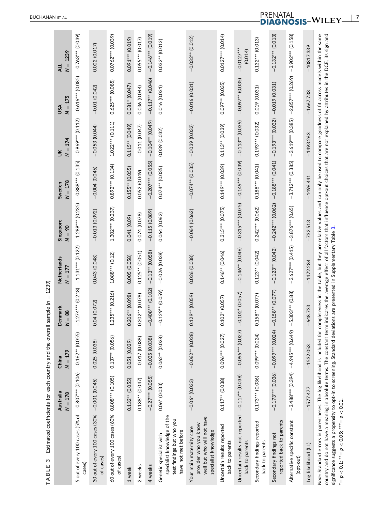| ì               |
|-----------------|
| ı               |
|                 |
|                 |
|                 |
| ]<br>5          |
| <b>FISHISHS</b> |
|                 |
|                 |
|                 |
| I               |
|                 |
| <b>CL-16-6</b>  |

<span id="page-6-0"></span>

| S<br>TABLE                                                                                                                                                                                                                                                                                                                                                                                                                        |                        | Estimated coefficients for each country and the overall | 1239)<br>$\, \parallel$<br>sample (n |                          |                                       |                     |                     |                     |                         |
|-----------------------------------------------------------------------------------------------------------------------------------------------------------------------------------------------------------------------------------------------------------------------------------------------------------------------------------------------------------------------------------------------------------------------------------|------------------------|---------------------------------------------------------|--------------------------------------|--------------------------|---------------------------------------|---------------------|---------------------|---------------------|-------------------------|
|                                                                                                                                                                                                                                                                                                                                                                                                                                   | Australia<br>$N = 178$ | $N = 179$<br>China                                      | Denmark<br>$= 88$<br>z               | Netherlands<br>$N = 177$ | Singapore<br>$90 =$<br>$\overline{z}$ | $N = 178$<br>Sweden | $N = 174$<br>š      | $N = 175$<br>USA    | $N = 1239$<br>니         |
| 5 out of every 100 cases (5% of -0.807*** (0.106) -0.162** (0.055)<br>cases)                                                                                                                                                                                                                                                                                                                                                      |                        |                                                         | $1.274***$ (0.218)<br>л.             | $-1.131***$ (0.122)      | $-1.289***$ (0.235)                   | $-0.888***$ (0.135) | $-0.969***$ (0.112) | $-0.616***$ (0.085) | $-0.763***$ (0.039)     |
| 30 out of every 100 cases (30%<br>of cases)                                                                                                                                                                                                                                                                                                                                                                                       | $-0.001(0.045)$        | 0.025 (0.038)                                           | 04 (0.072)<br>$\circ$                | 0.043 (0.048)            | $-0.013(0.092)$                       | $-0.004(0.046)$     | $-0.053(0.044)$     | $-0.01(0.042)$      | 0.002 (0.017)           |
| 60 out of every 100 cases (60% 0.808*** (0.105)<br>of cases)                                                                                                                                                                                                                                                                                                                                                                      |                        | $0.137**$ (0.056)                                       | $.235***$ (0.216)<br>I               | $1.088***$ (0.12)        | $1.302***$ (0.237)                    | $0.892***$ (0.134)  | $1.022***$ (0.111)  | $0.625***$ (0.085)  | 0.0762** (0.039)        |
| 1 week                                                                                                                                                                                                                                                                                                                                                                                                                            | $0.132**$ (0.055)      | 0.051 (0.039)                                           | $0.206**$ (0.098)                    | 0.005 (0.058)            | 0.041 (0.09)                          | $0.155**$ (0.055)   | $0.115**$ (0.049)   | $0.081* (0.047)$    | 0.091*** (0.019)        |
| 2 weeks                                                                                                                                                                                                                                                                                                                                                                                                                           | $0.138**$ (0.047)      | $-0.017(0.038)$                                         | $.202**$ (0.078)<br>0                | $0.125**$ (0.051)        | 0.074 (0.078)                         | 0.052 (0.049)       | $-0.011(0.047)$     | 0.036 (0.044)       | 0.055*** (0.017)        |
| 4 weeks                                                                                                                                                                                                                                                                                                                                                                                                                           | $-0.27***$ (0.055)     | $-0.035(0.038)$                                         | $-0.408***$ (0.102)                  | $-0.13**$ (0.058)        | $-0.115(0.089)$                       | $-0.207***$ (0.055) | $-0.104**$ (0.049)  | $-0.117**$ (0.046)  | $-0.146***$ (0.019)     |
| specialist knowledge of the<br>test findings but who you<br>have not met before<br>Genetic specialist with                                                                                                                                                                                                                                                                                                                        | $0.06*$ (0.033)        | $0.062**$ (0.028)                                       | $-0.129**$ (0.059)                   | $-0.026(0.038)$          | 0.064 (0.062)                         | $0.074**$ (0.035)   | 0.039 (0.032)       | 0.016 (0.031)       | $0.032**$ (0.012)       |
| well but who will not have<br>provider who you know<br>Your main maternity care<br>specialist knowledge                                                                                                                                                                                                                                                                                                                           | $-0.06*(0.033)$        | $-0.062**$ (0.028)                                      | $0.129**$ (0.059)                    | 0.026 (0.038)            | $-0.064(0.062)$                       | $-0.074**$ (0.035)  | $-0.039(0.032)$     | $-0.016(0.031)$     | $-0.032**$ (0.012)      |
| Uncertain results reported<br>back to parents                                                                                                                                                                                                                                                                                                                                                                                     | $0.117**$ (0.038)      | 0.096*** (0.027)                                        | $0.102*(0.057)$                      | $0.146**$ (0.046)        | $0.315***$ (0.075)                    | $0.149***$ (0.039)  | $0.113**$ (0.039)   | 0.097** (0.035)     | $0.0127***$ (0.014)     |
| Uncertain results not reported<br>back to parents                                                                                                                                                                                                                                                                                                                                                                                 | $-0.117**$ (0.038)     | $-0.096***$ (0.027)                                     | $0.102*(0.057)$<br>J.                | $-0.146**$ (0.046)       | $-0.315***$ (0.075)                   | $-0.149***$ (0.039) | $-0.113**$ (0.039)  | $-0.097**$ (0.035)  | $-0.0127***$<br>(0.014) |
| Secondary findings reported<br>back to parents                                                                                                                                                                                                                                                                                                                                                                                    | $0.173***$ (0.036)     | 0.099*** (0.024)                                        | $0.158**$ (0.077)                    | $0.123**$ (0.042)        | $0.242***$ (0.062)                    | $0.188***$ (0.041)  | $0.193***$ (0.032)  | 0.019 (0.031)       | $0.132***$ (0.013)      |
| reported back to parents<br>Secondary findings not                                                                                                                                                                                                                                                                                                                                                                                |                        | $-0.173***$ (0.036) $-0.09$ <sup>***</sup> (0.024)      | $-0.158**$ (0.077)                   | $-0.123**$ (0.042)       | $-0.242***$ (0.062)                   | $-0.188***$ (0.041) | $-0.193***$ (0.032) | $-0.019(0.031)$     | $-0.132***$ (0.013)     |
| Alternative specific constant<br>(opt-out)                                                                                                                                                                                                                                                                                                                                                                                        |                        | $-3.488***$ (0.394) $-4.945***$ (0.649)                 | 5.303*** (0.88)<br>$\mathbf{I}$      | $-3.627***$ (0.415)      | $-3.876***$ (0.65)                    | $-3.712***$ (0.385) | $-3.619***$ (0.385) | $-2.857***$ (0.269) | $-3.902***$ (0.158)     |
| Log likelihood (LL)                                                                                                                                                                                                                                                                                                                                                                                                               | $-1577.477$            | $-1532.053$                                             | 648.733                              | $-1472.284$              | $-732.513$                            | $-1496.441$         | $-1493.263$         | $-1667.733$         | $-10817.339$            |
| Note: Standard errors in parentheses. The log likelihood is included for completeness in the table, but they are relative values and can only be used to compare goodness of fit across models within the same<br>country and do not have a meaning in absolute terms. The constant term indicates the average effect of all factors that influence opt-out choices that are not explained by attributes in the DCE, its sign and |                        |                                                         |                                      |                          |                                       |                     |                     |                     |                         |

\* =

*p* < 0.1; \*\*= *p* < 0.05; \*\*\*= *p* < 0.01.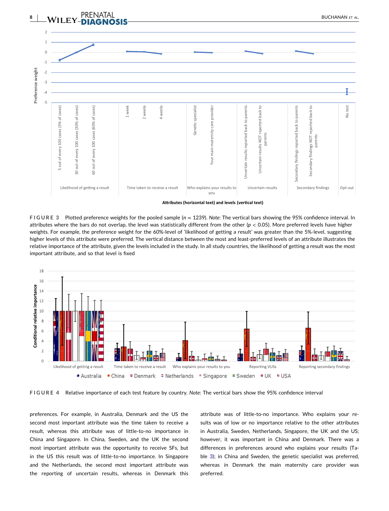<span id="page-7-0"></span>

**Attributes** (horizontal text) and levels (vertical text)

**FIGURE 3** Plotted preference weights for the pooled sample (*n* = 1239). *Note*: The vertical bars showing the 95% confidence interval. In attributes where the bars do not overlap, the level was statistically different from the other (*p* < 0.05). More preferred levels have higher weights. For example, the preference weight for the 60%‐level of 'likelihood of getting a result' was greater than the 5%‐level, suggesting higher levels of this attribute were preferred. The vertical distance between the most and least-preferred levels of an attribute illustrates the relative importance of the attribute, given the levels included in the study. In all study countries, the likelihood of getting a result was the most important attribute, and so that level is fixed



**FIGURE 4** Relative importance of each test feature by country. *Note*: The vertical bars show the 95% confidence interval

preferences. For example, in Australia, Denmark and the US the second most important attribute was the time taken to receive a result, whereas this attribute was of little-to-no importance in China and Singapore. In China, Sweden, and the UK the second most important attribute was the opportunity to receive SFs, but in the US this result was of little-to-no importance. In Singapore and the Netherlands, the second most important attribute was the reporting of uncertain results, whereas in Denmark this attribute was of little-to-no importance. Who explains your results was of low or no importance relative to the other attributes in Australia, Sweden, Netherlands, Singapore, the UK and the US; however, it was important in China and Denmark. There was a differences in preferences around who explains your results (Table [3\)](#page-6-0); in China and Sweden, the genetic specialist was preferred, whereas in Denmark the main maternity care provider was preferred.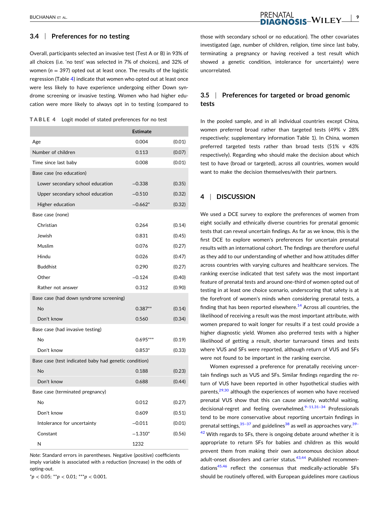# **3.4** <sup>|</sup> **Preferences for no testing**

Overall, participants selected an invasive test (Test A or B) in 93% of all choices (i.e. 'no test' was selected in 7% of choices), and 32% of women (*n* = 397) opted out at least once. The results of the logistic regression (Table 4) indicate that women who opted out at least once were less likely to have experience undergoing either Down syndrome screening or invasive testing. Women who had higher education were more likely to always opt in to testing (compared to

**TABLE 4** Logit model of stated preferences for no test

|                                                       | <b>Estimate</b> |        |
|-------------------------------------------------------|-----------------|--------|
| Age                                                   | 0.004           | (0.01) |
| Number of children                                    | 0.113           | (0.07) |
| Time since last baby                                  | 0.008           | (0.01) |
| Base case (no education)                              |                 |        |
| Lower secondary school education                      | $-0.338$        | (0.35) |
| Upper secondary school education                      | $-0.510$        | (0.32) |
| Higher education                                      | $-0.662*$       | (0.32) |
| Base case (none)                                      |                 |        |
| Christian                                             | 0.264           | (0.14) |
| Jewish                                                | 0.831           | (0.45) |
| Muslim                                                | 0.076           | (0.27) |
| Hindu                                                 | 0.026           | (0.47) |
| <b>Buddhist</b>                                       | 0.290           | (0.27) |
| Other                                                 | $-0.124$        | (0.40) |
| Rather not answer                                     | 0.312           | (0.90) |
| Base case (had down syndrome screening)               |                 |        |
| <b>No</b>                                             | $0.387**$       | (0.14) |
| Don't know                                            | 0.560           | (0.34) |
| Base case (had invasive testing)                      |                 |        |
| No                                                    | $0.695***$      | (0.19) |
| Don't know                                            | $0.853*$        | (0.33) |
| Base case (test indicated baby had genetic condition) |                 |        |
| <b>No</b>                                             | 0.188           | (0.23) |
| Don't know                                            | 0.688           | (0.44) |
| Base case (terminated pregnancy)                      |                 |        |
| No                                                    | 0.012           | (0.27) |
| Don't know                                            | 0.609           | (0.51) |
| Intolerance for uncertainty                           | $-0.011$        | (0.01) |
| Constant                                              | $-1.310*$       | (0.56) |
| N                                                     | 1232            |        |

*Note*: Standard errors in parentheses. Negative (positive) coefficients imply variable is associated with a reduction (increase) in the odds of opting‐out.

\**p* < 0.05; \*\**p* < 0.01; \*\*\**p* < 0.001.

those with secondary school or no education). The other covariates investigated (age, number of children, religion, time since last baby, terminating a pregnancy or having received a test result which showed a genetic condition, intolerance for uncertainty) were uncorrelated.

# **3.5** <sup>|</sup> **Preferences for targeted or broad genomic tests**

In the pooled sample, and in all individual countries except China, women preferred broad rather than targeted tests (49% v 28% respectively; supplementary information Table 1). In China, women preferred targeted tests rather than broad tests (51% v 43% respectively). Regarding who should make the decision about which test to have (broad or targeted), across all countries, women would want to make the decision themselves/with their partners.

## **4** <sup>|</sup> **DISCUSSION**

We used a DCE survey to explore the preferences of women from eight socially and ethnically diverse countries for prenatal genomic tests that can reveal uncertain findings. As far as we know, this is the first DCE to explore women's preferences for uncertain prenatal results with an international cohort. The findings are therefore useful as they add to our understanding of whether and how attitudes differ across countries with varying cultures and healthcare services. The ranking exercise indicated that test safety was the most important feature of prenatal tests and around one‐third of women opted out of testing in at least one choice scenario, underscoring that safety is at the forefront of women's minds when considering prenatal tests, a finding that has been reported elsewhere.<sup>[14](#page-10-0)</sup> Across all countries, the likelihood of receiving a result was the most important attribute, with women prepared to wait longer for results if a test could provide a higher diagnostic yield. Women also preferred tests with a higher likelihood of getting a result, shorter turnaround times and tests where VUS and SFs were reported, although return of VUS and SFs were not found to be important in the ranking exercise.

Women expressed a preference for prenatally receiving uncertain findings such as VUS and SFs. Similar findings regarding the return of VUS have been reported in other hypothetical studies with parents,<sup>29,30</sup> although the experiences of women who have received prenatal VUS show that this can cause anxiety, watchful waiting, decisional-regret and feeling overwhelmed. $9-11,31-34$  Professionals tend to be more conservative about reporting uncertain findings in prenatal settings,  $35-37$  and guidelines  $38$  as well as approaches vary.  $39 42$  With regards to SFs, there is ongoing debate around whether it is appropriate to return SFs for babies and children as this would prevent them from making their own autonomous decision about adult-onset disorders and carrier status.<sup>43,44</sup> Published recommen-dations<sup>[45,46](#page-11-0)</sup> reflect the consensus that medically-actionable SFs should be routinely offered, with European guidelines more cautious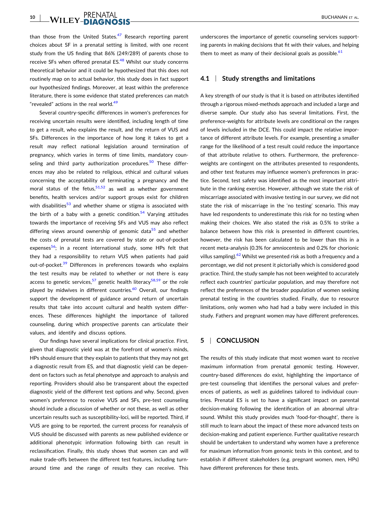than those from the United States. $47$  Research reporting parent choices about SF in a prenatal setting is limited, with one recent study from the US finding that 86% (249/289) of parents chose to receive SFs when offered prenatal ES.<sup>[48](#page-11-0)</sup> Whilst our study concerns theoretical behavior and it could be hypothesized that this does not routinely map on to actual behavior, this study does in fact support our hypothesized findings. Moreover, at least within the preference literature, there is some evidence that stated preferences can match "revealed" actions in the real world.<sup>[49](#page-11-0)</sup>

Several country‐specific differences in women's preferences for receiving uncertain results were identified, including length of time to get a result, who explains the result, and the return of VUS and SFs. Differences in the importance of how long it takes to get a result may reflect national legislation around termination of pregnancy, which varies in terms of time limits, mandatory coun-seling and third party authorization procedures.<sup>[50](#page-11-0)</sup> These differences may also be related to religious, ethical and cultural values concerning the acceptability of terminating a pregnancy and the moral status of the fetus,  $51,52$  as well as whether government benefits, health services and/or support groups exist for children with disabilities<sup>[53](#page-11-0)</sup> and whether shame or stigma is associated with the birth of a baby with a genetic condition.<sup>[54](#page-11-0)</sup> Varying attitudes towards the importance of receiving SFs and VUS may also reflect differing views around ownership of genomic data<sup>[55](#page-12-0)</sup> and whether the costs of prenatal tests are covered by state or out‐of‐pocket expenses $56$ ; in a recent international study, some HPs felt that they had a responsibility to return VUS when patients had paid out-of-pocket.<sup>[39](#page-11-0)</sup> Differences in preferences towards who explains the test results may be related to whether or not there is easy access to genetic services,<sup>[57](#page-12-0)</sup> genetic health literacy<sup>[58,59](#page-12-0)</sup> or the role played by midwives in different countries. $60$  Overall, our findings support the development of guidance around return of uncertain results that take into account cultural and health system differences. These differences highlight the importance of tailored counseling, during which prospective parents can articulate their values, and identify and discuss options.

Our findings have several implications for clinical practice. First, given that diagnostic yield was at the forefront of women's minds, HPs should ensure that they explain to patients that they may not get a diagnostic result from ES, and that diagnostic yield can be dependent on factors such as fetal phenotype and approach to analysis and reporting. Providers should also be transparent about the expected diagnostic yield of the different test options and why. Second, given women's preference to receive VUS and SFs, pre‐test counseling should include a discussion of whether or not these, as well as other uncertain results such as susceptibility‐loci, will be reported. Third, if VUS are going to be reported, the current process for reanalysis of VUS should be discussed with parents as new published evidence or additional phenotypic information following birth can result in reclassification. Finally, this study shows that women can and will make trade‐offs between the different test features, including turnaround time and the range of results they can receive. This

underscores the importance of genetic counseling services supporting parents in making decisions that fit with their values, and helping them to meet as many of their decisional goals as possible. $61$ 

#### **4.1** <sup>|</sup> **Study strengths and limitations**

A key strength of our study is that it is based on attributes identified through a rigorous mixed‐methods approach and included a large and diverse sample. Our study also has several limitations. First, the preference‐weights for attribute levels are conditional on the ranges of levels included in the DCE. This could impact the relative importance of different attribute levels. For example, presenting a smaller range for the likelihood of a test result could reduce the importance of that attribute relative to others. Furthermore, the preference‐ weights are contingent on the attributes presented to respondents, and other test features may influence women's preferences in practice. Second, test safety was identified as the most important attribute in the ranking exercise. However, although we state the risk of miscarriage associated with invasive testing in our survey, we did not state the risk of miscarriage in the 'no testing' scenario. This may have led respondents to underestimate this risk for no testing when making their choices. We also stated the risk as 0.5% to strike a balance between how this risk is presented in different countries, however, the risk has been calculated to be lower than this in a recent meta‐analysis (0.3% for amniocentesis and 0.2% for chorionic villus sampling). $62$  Whilst we presented risk as both a frequency and a percentage, we did not present it pictorially which is considered good practice. Third, the study sample has not been weighted to accurately reflect each countries' particular population, and may therefore not reflect the preferences of the broader population of women seeking prenatal testing in the countries studied. Finally, due to resource limitations, only women who had had a baby were included in this study. Fathers and pregnant women may have different preferences.

# **5** <sup>|</sup> **CONCLUSION**

The results of this study indicate that most women want to receive maximum information from prenatal genomic testing. However, country‐based differences do exist, highlighting the importance of pre-test counseling that identifies the personal values and preferences of patients, as well as guidelines tailored to individual countries. Prenatal ES is set to have a significant impact on parental decision‐making following the identification of an abnormal ultrasound. Whilst this study provides much 'food-for-thought', there is still much to learn about the impact of these more advanced tests on decision‐making and patient experience. Further qualitative research should be undertaken to understand why women have a preference for maximum information from genomic tests in this context, and to establish if different stakeholders (e.g. pregnant women, men, HPs) have different preferences for these tests.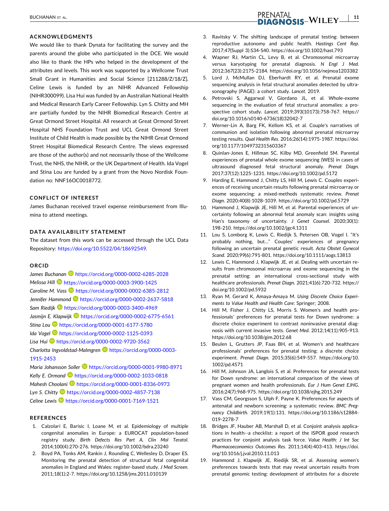### <span id="page-10-0"></span>**ACKNOWLEDGMENTS**

We would like to thank Dynata for facilitating the survey and the parents around the globe who participated in the DCE. We would also like to thank the HPs who helped in the development of the attributes and levels. This work was supported by a Wellcome Trust Small Grant in Humanities and Social Science [211288/Z/18/Z]. Celine Lewis is funded by an NIHR Advanced Fellowship (NIHR300099). Lisa Hui was funded by an Australian National Health and Medical Research Early Career Fellowship. Lyn S. Chitty and MH are partially funded by the NIHR Biomedical Research Centre at Great Ormond Street Hospital. All research at Great Ormond Street Hospital NHS Foundation Trust and UCL Great Ormond Street Institute of Child Health is made possible by the NIHR Great Ormond Street Hospital Biomedical Research Centre. The views expressed are those of the author(s) and not necessarily those of the Wellcome Trust, the NHS, the NIHR, or the UK Department of Health. Ida Vogel and Stina Lou are funded by a grant from the Novo Nordisk Foundation no: NNF16OC0018772.

## **CONFLICT OF INTEREST**

James Buchanan received travel expense reimbursement from Illumina to attend meetings.

## **DATA AVAILABILITY STATEMENT**

The dataset from this work can be accessed through the UCL Data Repository: [https://doi.org/10.5522/04/18692549.](https://doi.org/10.5522/04/18692549)

#### **ORCID**

James Buchanan<sup>1</sup> <https://orcid.org/0000-0002-6285-2028> *Melissa Hill* <https://orcid.org/0000-0003-3900-1425> **Caroline M. Vass <b>b** <https://orcid.org/0000-0002-6385-2812> *Jennifer Hammond* <https://orcid.org/0000-0002-2637-5818> *Sam Riedijk* <https://orcid.org/0000-0003-3400-4969> *Jasmijn E. Klapwijk* <https://orcid.org/0000-0002-6775-6561> *Stina Lou* <https://orcid.org/0000-0001-6177-5780> *Ida Vogel* <https://orcid.org/0000-0002-1125-0393> *Lisa Hui* <https://orcid.org/0000-0002-9720-3562> *Charlotta Ingvoldstad‐Malmgren* [https://orcid.org/0000-0003-](https://orcid.org/0000-0003-1915-2453) [1915-2453](https://orcid.org/0000-0003-1915-2453)

*Maria Johansson Soller* <https://orcid.org/0000-0001-9980-8971> *Kelly E. Ormond* <https://orcid.org/0000-0002-1033-0818> *Mahesh Choolani* <https://orcid.org/0000-0001-8336-0973> *Lyn S. Chitty* <https://orcid.org/0000-0002-4857-7138> *Celine Lewis* <https://orcid.org/0000-0001-7169-1521>

#### **REFERENCES**

- 1. Calzolari E, Barisic I, Loane M, et al. Epidemiology of multiple congenital anomalies in Europe: a EUROCAT population‐based registry study. *Birth Defects Res Part A, Clin Mol Teratol*. 2014;100(4):270‐276. <https://doi.org/10.1002/bdra.23240>
- 2. Boyd PA, Tonks AM, Rankin J, Rounding C, Wellesley D, Draper ES. Monitoring the prenatal detection of structural fetal congenital anomalies in England and Wales: register‐based study. *J Med Screen*. 2011;18(1):2‐7. <https://doi.org/10.1258/jms.2011.010139>
- 3. Ravitsky V. The shifting landscape of prenatal testing: between reproductive autonomy and public health. *Hastings Cent Rep*. 2017;47(Suppl 3):S34‐S40. <https://doi.org/10.1002/hast.793>
- 4. Wapner RJ, Martin CL, Levy B, et al. Chromosomal microarray versus karyotyping for prenatal diagnosis. *N Engl J Med*. 2012;367(23):2175‐2184. <https://doi.org/10.1056/nejmoa1203382>
- 5. Lord J, McMullan DJ, Eberhardt RY, et al. Prenatal exome sequencing analysis in fetal structural anomalies detected by ultrasonography (PAGE): a cohort study. *Lancet*. 2019.
- 6. Petrovski S, Aggarwal V, Giordano JL, et al. Whole‐exome sequencing in the evaluation of fetal structural anomalies: a prospective cohort study. *Lancet*. 2019;393(10173):758‐767. [https://](https://doi.org/10.1016/s0140-6736(18)32042-7) [doi.org/10.1016/s0140](https://doi.org/10.1016/s0140-6736(18)32042-7)‐6736(18)32042‐7
- 7. Werner‐Lin A, Barg FK, Kellom KS, et al. Couple's narratives of communion and isolation following abnormal prenatal microarray testing results. *Qual Health Res*. 2016;26(14):1975‐1987. [https://doi.](https://doi.org/10.1177/1049732315603367) [org/10.1177/1049732315603367](https://doi.org/10.1177/1049732315603367)
- 8. Quinlan‐Jones E, Hillman SC, Kilby MD, Greenfield SM. Parental experiences of prenatal whole exome sequencing (WES) in cases of ultrasound diagnosed fetal structural anomaly. *Prenat Diagn*. 2017;37(12):1225‐1231. <https://doi.org/10.1002/pd.5172>
- 9. Harding E, Hammond J, Chitty LS, Hill M, Lewis C. Couples experiences of receiving uncertain results following prenatal microarray or exome sequencing: a mixed‐methods systematic review. *Prenat Diagn*. 2020;40(8):1028‐1039. <https://doi.org/10.1002/pd.5729>
- 10. Hammond J, Klapwijk JE, Hill M, et al. Parental experiences of uncertainty following an abnormal fetal anomaly scan: insights using Han's taxonomy of uncertainty. *J Genet Counsel*. 2020;30(1): 198‐210. <https://doi.org/10.1002/jgc4.1311>
- 11. Lou S, Lomborg K, Lewis C, Riedijk S, Petersen OB, Vogel I. "It's probably nothing, but…" Couples' experiences of pregnancy following an uncertain prenatal genetic result. *Acta Obstet Gynecol Scand*. 2020;99(6):791‐801. <https://doi.org/10.1111/aogs.13813>
- 12. Lewis C, Hammond J, Klapwijk JE, et al. Dealing with uncertain results from chromosomal microarray and exome sequencing in the prenatal setting: an international cross‐sectional study with healthcare professionals. *Prenat Diagn*. 2021;41(6):720‐732. [https://](https://doi.org/10.1002/pd.5932) [doi.org/10.1002/pd.5932](https://doi.org/10.1002/pd.5932)
- 13. Ryan M, Gerard K, Amaya‐Amaya M. *Using Discrete Choice Experiments to Value Health and Health Care*: Springer; 2008.
- 14. Hill M, Fisher J, Chitty LS, Morris S. Women's and health professionals' preferences for prenatal tests for Down syndrome: a discrete choice experiment to contrast noninvasive prenatal diagnosis with current invasive tests. *Genet Med*. 2012;14(11):905‐913. <https://doi.org/10.1038/gim.2012.68>
- 15. Beulen L, Grutters JP, Faas BH, et al. Women's and healthcare professionals' preferences for prenatal testing: a discrete choice experiment. *Prenat Diagn*. 2015;35(6):549‐557. [https://doi.org/10.](https://doi.org/10.1002/pd.4571) [1002/pd.4571](https://doi.org/10.1002/pd.4571)
- 16. Hill M, Johnson JA, Langlois S, et al. Preferences for prenatal tests for Down syndrome: an international comparison of the views of pregnant women and health professionals. *Eur J Hum Genet EJHG*. 2016;24(7):968‐975. <https://doi.org/10.1038/ejhg.2015.249>
- 17. Vass CM, Georgsson S, Ulph F, Payne K. Preferences for aspects of antenatal and newborn screening: a systematic review. *BMC Pregnancy Childbirth*. 2019;19(1):131. [https://doi.org/10.1186/s12884](https://doi.org/10.1186/s12884-019-2278-7)‐ 019‐[2278](https://doi.org/10.1186/s12884-019-2278-7)‐7
- 18. Bridges JF, Hauber AB, Marshall D, et al. Conjoint analysis applications in health‐‐a checklist: a report of the ISPOR good research practices for conjoint analysis task force. *Value Health: J Int Soc Pharmacoeconomics Outcomes Res*. 2011;14(4):403‐413. [https://doi.](https://doi.org/10.1016/j.jval.2010.11.013) [org/10.1016/j.jval.2010.11.013](https://doi.org/10.1016/j.jval.2010.11.013)
- 19. Hammond J, Klapwijk JE, Riedijk SR, et al. Assessing women's preferences towards tests that may reveal uncertain results from prenatal genomic testing: development of attributes for a discrete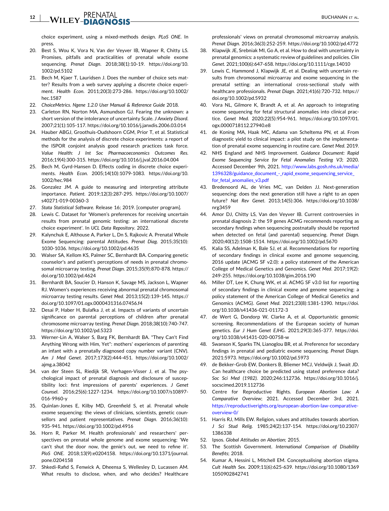#### <span id="page-11-0"></span>**12** EXPRENATAL BUCHANAN ET AL.

choice experiment, using a mixed‐methods design. *PLoS ONE*. In press.

- 20. Best S, Wou K, Vora N, Van der Veyver IB, Wapner R, Chitty LS. Promises, pitfalls and practicalities of prenatal whole exome sequencing. *Prenat Diagn*. 2018;38(1):10‐19. [https://doi.org/10.](https://doi.org/10.1002/pd.5102) [1002/pd.5102](https://doi.org/10.1002/pd.5102)
- 21. Bech M, Kjaer T, Lauridsen J. Does the number of choice sets matter? Results from a web survey applying a discrete choice experiment. *Health Econ*. 2011;20(3):273‐286. [https://doi.org/10.1002/](https://doi.org/10.1002/hec.1587) [hec.1587](https://doi.org/10.1002/hec.1587)
- 22. *ChoiceMetrics. Ngene 1.2.0 User Manual & Reference Guide* 2018.
- 23. Carleton RN, Norton MA, Asmundson GJ. Fearing the unknown: a short version of the intolerance of uncertainty Scale. *J Anxiety Disord*. 2007;21(1):105‐117. <https://doi.org/10.1016/j.janxdis.2006.03.014>
- 24. Hauber ABGJ, Groothuis‐Oudshoorn CGM, Prior T, et al. Statistical methods for the analysis of discrete choice experiments: a report of the ISPOR conjoint analysis good research practices task force. *Value Health: J Int Soc Pharmacoeconomics Outcomes Res*. 2016;19(4):300‐315. <https://doi.org/10.1016/j.jval.2016.04.004>
- 25. Bech M, Gyrd‐Hansen D. Effects coding in discrete choice experiments. *Health Econ*. 2005;14(10):1079‐1083. [https://doi.org/10.](https://doi.org/10.1002/hec.984) [1002/hec.984](https://doi.org/10.1002/hec.984)
- 26. Gonzalez JM. A guide to measuring and interpreting attribute importance. *Patient*. 2019;12(3):287‐295. [https://doi.org/10.1007/](https://doi.org/10.1007/s40271-019-00360-3) [s40271](https://doi.org/10.1007/s40271-019-00360-3)‐019‐00360‐3
- 27. *Stata Statistical Software*. Release 16; 2019. [computer program].
- 28. Lewis C. Dataset for 'Women's preferences for receiving uncertain results from prenatal genomic testing: an international discrete choice experiment'. In *UCL Data Repository*. 2022.
- 29. Kalynchuk E, Althouse A, Parker L, Dn S, Rajkovic A. Prenatal Whole Exome Sequencing: parental Attitudes. *Prenat Diag*. 2015;35(10): 1030‐1036. <https://doi.org/10.1002/pd.4635>
- 30. Walser SA, Kellom KS, Palmer SC, Bernhardt BA. Comparing genetic counselor's and patient's perceptions of needs in prenatal chromosomal microarray testing. *Prenat Diagn*. 2015;35(9):870‐878. [https://](https://doi.org/10.1002/pd.4624) [doi.org/10.1002/pd.4624](https://doi.org/10.1002/pd.4624)
- 31. Bernhardt BA, Soucier D, Hanson K, Savage MS, Jackson L, Wapner RJ. Women's experiences receiving abnormal prenatal chromosomal microarray testing results. *Genet Med*. 2013;15(2):139‐145. [https://](https://doi.org/10.1097/01.ogx.0000431316.07456.f4) [doi.org/10.1097/01.ogx.0000431316.07456.f4](https://doi.org/10.1097/01.ogx.0000431316.07456.f4)
- 32. Desai P, Haber H, Bulafka J, et al. Impacts of variants of uncertain significance on parental perceptions of children after prenatal chromosome microarray testing. *Prenat Diagn*. 2018;38(10):740‐747. <https://doi.org/10.1002/pd.5323>
- 33. Werner-Lin A, Walser S, Barg FK, Bernhardt BA. "They Can't Find Anything Wrong with Him, Yet": mothers' experiences of parenting an infant with a prenatally diagnosed copy number variant (CNV). *Am J Med Genet*. 2017;173(2):444‐451. [https://doi.org/10.1002/](https://doi.org/10.1002/ajmg.a.38042) [ajmg.a.38042](https://doi.org/10.1002/ajmg.a.38042)
- 34. van der Steen SL, Riedijk SR, Verhagen‐Visser J, et al. The psychological impact of prenatal diagnosis and disclosure of susceptibility loci: first impressions of parents' experiences. *J Genet Counsel*. 2016;25(6):1227‐1234. [https://doi.org/10.1007/s10897](https://doi.org/10.1007/s10897-016-9960-y)‐ 016‐[9960](https://doi.org/10.1007/s10897-016-9960-y)‐y
- 35. Quinlan‐Jones E, Kilby MD, Greenfield S, et al. Prenatal whole exome sequencing: the views of clinicians, scientists, genetic counsellors and patient representatives. *Prenat Diagn*. 2016;36(10): 935‐941. <https://doi.org/10.1002/pd.4916>
- 36. Horn R, Parker M. Health professionals' and researchers' perspectives on prenatal whole genome and exome sequencing: 'We can't shut the door now, the genie's out, we need to refine it'. *PloS ONE*. 2018;13(9):e0204158. [https://doi.org/10.1371/journal.](https://doi.org/10.1371/journal.pone.0204158) [pone.0204158](https://doi.org/10.1371/journal.pone.0204158)
- 37. Shkedi‐Rafid S, Fenwick A, Dheensa S, Wellesley D, Lucassen AM. What results to disclose, when, and who decides? Healthcare

professionals' views on prenatal chromosomal microarray analysis. *Prenat Diagn*. 2016;36(3):252‐259. <https://doi.org/10.1002/pd.4772>

- 38. Klapwijk JE, Srebniak MI, Go A, et al. How to deal with uncertainty in prenatal genomics: a systematic review of guidelines and policies. *Clin Genet*. 2021;100(6):647‐658. <https://doi.org/10.1111/cge.14010>
- 39. Lewis C, Hammond J, Klapwijk JE, et al. Dealing with uncertain results from chromosomal microarray and exome sequencing in the prenatal setting: an international cross‐sectional study with healthcare professionals. *Prenat Diagn*. 2021;41(6):720‐732. [https://](https://doi.org/10.1002/pd.5932) [doi.org/10.1002/pd.5932](https://doi.org/10.1002/pd.5932)
- 40. Vora NL, Gilmore K, Brandt A, et al. An approach to integrating exome sequencing for fetal structural anomalies into clinical practice. *Genet Med*. 2020;22(5):954‐961. [https://doi.org/10.1097/01.](https://doi.org/10.1097/01.ogx.0000718112.27940.e8) [ogx.0000718112.27940.e8](https://doi.org/10.1097/01.ogx.0000718112.27940.e8)
- 41. de Koning MA, Haak MC, Adama van Scheltema PN, et al. From diagnostic yield to clinical impact: a pilot study on the implementation of prenatal exome sequencing in routine care. *Genet Med*. 2019.
- 42. NHS England and NHS Improvement. *Guidance Document: Rapid Exome Sequencing Service for Fetal Anomalies Testing V3*; 2020. Accessed December 9th, 2021. [http://www.labs.gosh.nhs.uk/media/](http://www.labs.gosh.nhs.uk/media/1396328/guidance_document_-_rapid_exome_sequencing_service_for_fetal_anomalies_v3.pdf) 1396328/guidance\_document\_‐[\\_rapid\\_exome\\_sequencing\\_service\\_](http://www.labs.gosh.nhs.uk/media/1396328/guidance_document_-_rapid_exome_sequencing_service_for_fetal_anomalies_v3.pdf) [for\\_fetal\\_anomalies\\_v3.pdf](http://www.labs.gosh.nhs.uk/media/1396328/guidance_document_-_rapid_exome_sequencing_service_for_fetal_anomalies_v3.pdf)
- 43. Bredenoord AL, de Vries MC, van Delden JJ. Next-generation sequencing: does the next generation still have a right to an open future? *Nat Rev Genet*. 2013;14(5):306. [https://doi.org/10.1038/](https://doi.org/10.1038/nrg3459) [nrg3459](https://doi.org/10.1038/nrg3459)
- 44. Amor DJ, Chitty LS, Van den Veyver IB. Current controversies in prenatal diagnosis 2: the 59 genes ACMG recommends reporting as secondary findings when sequencing postnatally should be reported when detected on fetal (and parental) sequencing. *Prenat Diagn*. 2020;40(12):1508‐1514. <https://doi.org/10.1002/pd.5670>
- 45. Kalia SS, Adelman K, Bale SJ, et al. Recommendations for reporting of secondary findings in clinical exome and genome sequencing, 2016 update (ACMG SF v2.0): a policy statement of the American College of Medical Genetics and Genomics. *Genet Med*. 2017;19(2): 249‐255. <https://doi.org/10.1038/gim.2016.190>
- 46. Miller DT, Lee K, Chung WK, et al. ACMG SF v3.0 list for reporting of secondary findings in clinical exome and genome sequencing: a policy statement of the American College of Medical Genetics and Genomics (ACMG). *Genet Med*. 2021;23(8):1381‐1390. [https://doi.](https://doi.org/10.1038/s41436-021-01172-3) [org/10.1038/s41436](https://doi.org/10.1038/s41436-021-01172-3)‐021‐01172‐3
- 47. de Wert G, Dondorp W, Clarke A, et al. Opportunistic genomic screening. Recommendations of the European society of human genetics. *Eur J Hum Genet EJHG*. 2021;29(3):365‐377. [https://doi.](https://doi.org/10.1038/s41431-020-00758-w) [org/10.1038/s41431](https://doi.org/10.1038/s41431-020-00758-w)‐020‐00758‐w
- 48. Swanson K, Sparks TN, Lianoglou BR, et al. Preference for secondary findings in prenatal and pediatric exome sequencing. *Prenat Diagn*. 2021:5973. <https://doi.org/10.1002/pd.5973>
- 49. de Bekker‐Grob EW, Donkers B, Bliemer MCJ, Veldwijk J, Swait JD. Can healthcare choice be predicted using stated preference data? *Soc Sci Med (1982)*. 2020;246:112736. [https://doi.org/10.1016/j.](https://doi.org/10.1016/j.socscimed.2019.112736) [socscimed.2019.112736](https://doi.org/10.1016/j.socscimed.2019.112736)
- 50. Centre for Reproductive Rights. *European Abortion Law: A Comparative Overview*; 2021. Accessed December 3rd, 2021. [https://reproductiverights.org/european](https://reproductiverights.org/european-abortion-law-comparative-overview-0/)‐abortion‐law‐comparative‐ [overview](https://reproductiverights.org/european-abortion-law-comparative-overview-0/)‐0/
- 51. Harris RJ, Mills EW. Religion, values and attitudes towards abortion. *J Sci Stud Relig*. 1985;24(2):137‐154. [https://doi.org/10.2307/](https://doi.org/10.2307/1386338) [1386338](https://doi.org/10.2307/1386338)
- 52. Ipsos. *Global Attitudes on Abortion*; 2015.
- 53. The Scottish Government. *International Comparison of Disability Benefits*; 2018.
- 54. Kumar A, Hessini L, Mitchell EM. Conceptualising abortion stigma. *Cult Health Sex*. 2009;11(6):625‐639. [https://doi.org/10.1080/1369](https://doi.org/10.1080/13691050902842741) [1050902842741](https://doi.org/10.1080/13691050902842741)